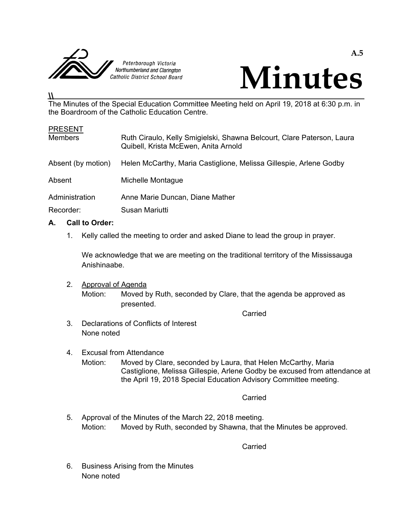



# The Minutes of the Special Education Committee Meeting held on April 19, 2018 at 6:30 p.m. in the Boardroom of the Catholic Education Centre.

| <b>PRESENT</b>     |                                                                                                                |
|--------------------|----------------------------------------------------------------------------------------------------------------|
| <b>Members</b>     | Ruth Ciraulo, Kelly Smigielski, Shawna Belcourt, Clare Paterson, Laura<br>Quibell, Krista McEwen, Anita Arnold |
| Absent (by motion) | Helen McCarthy, Maria Castiglione, Melissa Gillespie, Arlene Godby                                             |
| Absent             | Michelle Montague                                                                                              |
| Administration     | Anne Marie Duncan, Diane Mather                                                                                |
| Recorder:          | Susan Mariutti                                                                                                 |

# **A. Call to Order:**

 $\overline{\mu}$ 

1. Kelly called the meeting to order and asked Diane to lead the group in prayer.

 We acknowledge that we are meeting on the traditional territory of the Mississauga Anishinaabe.

 2. Approval of Agenda Motion: Moved by Ruth, seconded by Clare, that the agenda be approved as presented.

**Carried Carried Carried Carried Carried Carried Carried Carried Carried Carried Carried Carried Carried Carried Carried Carried Carried Carried Carried Carried Carried Carried Carried Carried Carried Carried Carried Carri** 

- 3. Declarations of Conflicts of Interest None noted
- 4. Excusal from Attendance Motion: Moved by Clare, seconded by Laura, that Helen McCarthy, Maria Castiglione, Melissa Gillespie, Arlene Godby be excused from attendance at the April 19, 2018 Special Education Advisory Committee meeting.

**Carried** Carried Carried Carried Carried Carried Carried Carried Carried Carried Carried Carried Carried Carried Carried Carried Carried Carried Carried Carried Carried Carried Carried Carried Carried Carried Carried Carr

 5. Approval of the Minutes of the March 22, 2018 meeting. Motion: Moved by Ruth, seconded by Shawna, that the Minutes be approved.

**Carried Carried Carried Carried Carried Carried Carried Carried Carried Carried Carried Carried Carried Carried Carried Carried Carried Carried Carried Carried Carried Carried Carried Carried Carried Carried Carried Carri** 

 6. Business Arising from the Minutes None noted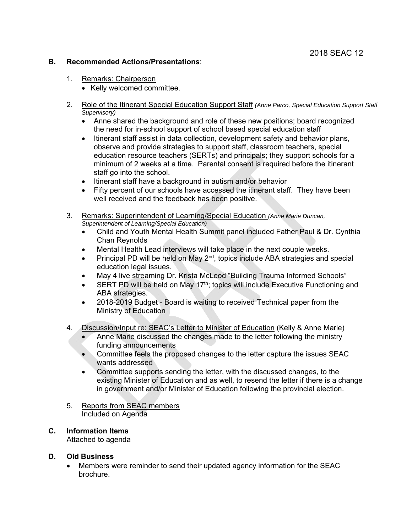## **B. Recommended Actions/Presentations**:

- 1. Remarks: Chairperson
	- Kelly welcomed committee.
- 2. Role of the Itinerant Special Education Support Staff *(Anne Parco, Special Education Support Staff Supervisory)* 
	- Anne shared the background and role of these new positions; board recognized the need for in-school support of school based special education staff
	- Itinerant staff assist in data collection, development safety and behavior plans, observe and provide strategies to support staff, classroom teachers, special education resource teachers (SERTs) and principals; they support schools for a minimum of 2 weeks at a time. Parental consent is required before the itinerant staff go into the school.
	- Itinerant staff have a background in autism and/or behavior
	- Fifty percent of our schools have accessed the itinerant staff. They have been well received and the feedback has been positive.
- 3. Remarks: Superintendent of Learning/Special Education *(Anne Marie Duncan, Superintendent of Learning/Special Education)*
	- Child and Youth Mental Health Summit panel included Father Paul & Dr. Cynthia Chan Reynolds
	- Mental Health Lead interviews will take place in the next couple weeks.
	- Principal PD will be held on May  $2^{nd}$ , topics include ABA strategies and special education legal issues.
	- May 4 live streaming Dr. Krista McLeod "Building Trauma Informed Schools"
	- SERT PD will be held on May 17<sup>th</sup>; topics will include Executive Functioning and ABA strategies.
	- 2018-2019 Budget Board is waiting to received Technical paper from the Ministry of Education
- 4. Discussion/Input re: SEAC's Letter to Minister of Education (Kelly & Anne Marie)
	- Anne Marie discussed the changes made to the letter following the ministry funding announcements
	- Committee feels the proposed changes to the letter capture the issues SEAC wants addressed
	- Committee supports sending the letter, with the discussed changes, to the existing Minister of Education and as well, to resend the letter if there is a change in government and/or Minister of Education following the provincial election.
- 5. Reports from SEAC members Included on Agenda

# **C. Information Items**

Attached to agenda

#### **D. Old Business**

 Members were reminder to send their updated agency information for the SEAC brochure.